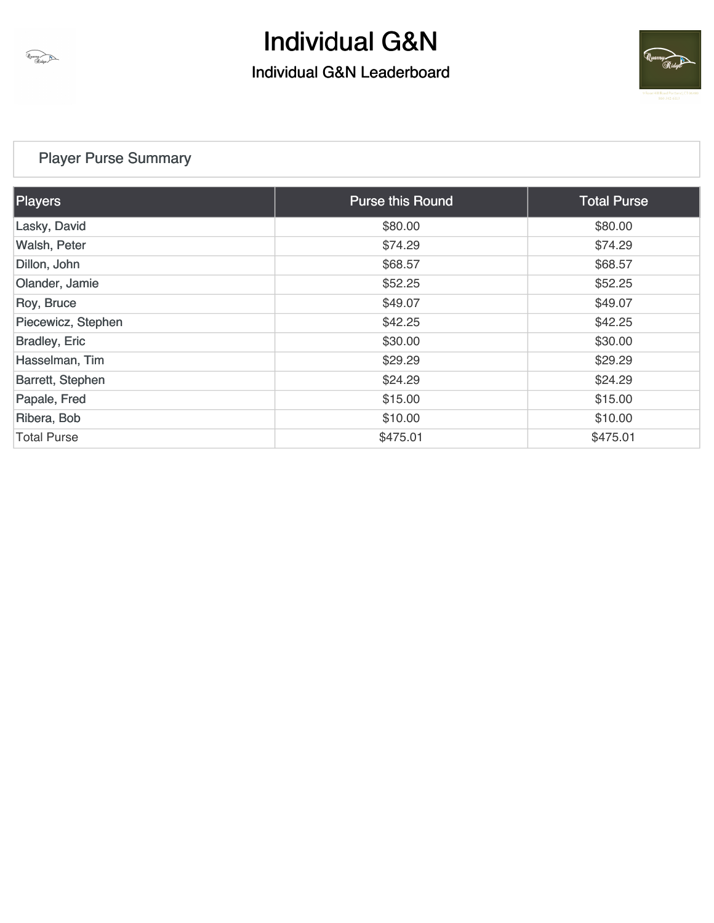



### [Player Purse Summary](https://static.golfgenius.com/v2tournaments/total_purse?league_id=8471411494771243919&round_id=8471411590770473962)

Unavy

| <b>Players</b>       | <b>Purse this Round</b> | <b>Total Purse</b> |
|----------------------|-------------------------|--------------------|
| Lasky, David         | \$80.00                 | \$80.00            |
| Walsh, Peter         | \$74.29                 | \$74.29            |
| Dillon, John         | \$68.57                 | \$68.57            |
| Olander, Jamie       | \$52.25                 | \$52.25            |
| Roy, Bruce           | \$49.07                 | \$49.07            |
| Piecewicz, Stephen   | \$42.25                 | \$42.25            |
| <b>Bradley, Eric</b> | \$30.00                 | \$30.00            |
| Hasselman, Tim       | \$29.29                 | \$29.29            |
| Barrett, Stephen     | \$24.29                 | \$24.29            |
| Papale, Fred         | \$15.00                 | \$15.00            |
| Ribera, Bob          | \$10.00                 | \$10.00            |
| <b>Total Purse</b>   | \$475.01                | \$475.01           |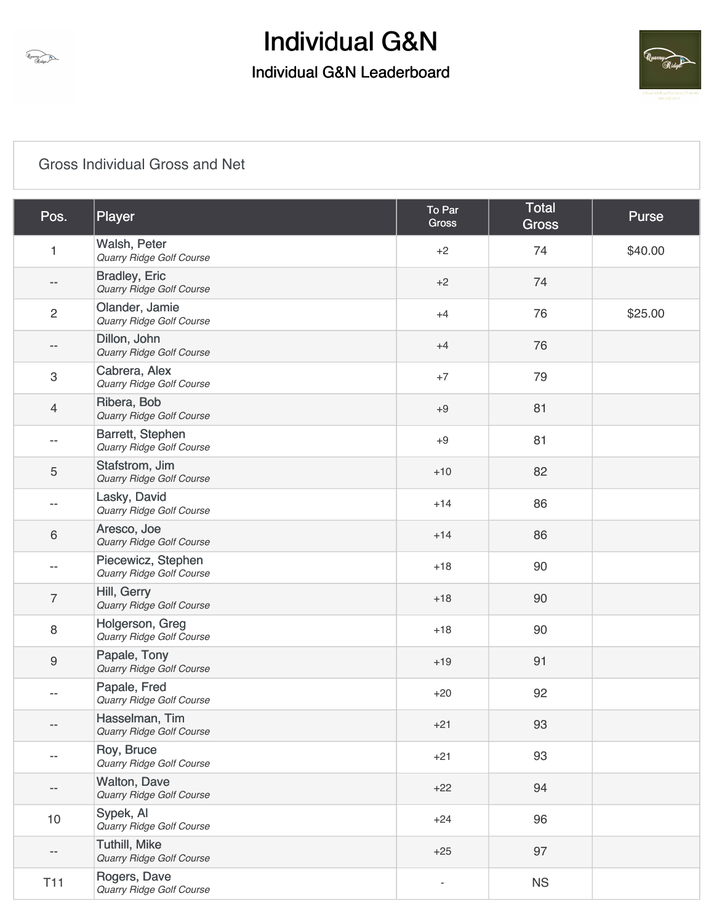## Individual G&N Leaderboard



### [Gross Individual Gross and Net](https://static.golfgenius.com/v2tournaments/8471411739483716413?called_from=&round_index=1)

Quarry Ridge

| Pos.             | Player                                           | To Par<br><b>Gross</b> | <b>Total</b><br><b>Gross</b> | Purse   |
|------------------|--------------------------------------------------|------------------------|------------------------------|---------|
| 1                | Walsh, Peter<br>Quarry Ridge Golf Course         | $+2$                   | 74                           | \$40.00 |
| $- -$            | <b>Bradley, Eric</b><br>Quarry Ridge Golf Course | $+2$                   | 74                           |         |
| $\overline{c}$   | Olander, Jamie<br>Quarry Ridge Golf Course       | $+4$                   | 76                           | \$25.00 |
| --               | Dillon, John<br>Quarry Ridge Golf Course         | $+4$                   | 76                           |         |
| 3                | Cabrera, Alex<br>Quarry Ridge Golf Course        | $+7$                   | 79                           |         |
| 4                | Ribera, Bob<br>Quarry Ridge Golf Course          | $+9$                   | 81                           |         |
| --               | Barrett, Stephen<br>Quarry Ridge Golf Course     | $+9$                   | 81                           |         |
| 5                | Stafstrom, Jim<br>Quarry Ridge Golf Course       | $+10$                  | 82                           |         |
|                  | Lasky, David<br>Quarry Ridge Golf Course         | $+14$                  | 86                           |         |
| $\,6$            | Aresco, Joe<br>Quarry Ridge Golf Course          | $+14$                  | 86                           |         |
|                  | Piecewicz, Stephen<br>Quarry Ridge Golf Course   | $+18$                  | 90                           |         |
| $\overline{7}$   | Hill, Gerry<br>Quarry Ridge Golf Course          | $+18$                  | 90                           |         |
| $\,8\,$          | Holgerson, Greg<br>Quarry Ridge Golf Course      | $+18$                  | 90                           |         |
| $\boldsymbol{9}$ | Papale, Tony<br>Quarry Ridge Golf Course         | $+19$                  | 91                           |         |
| --               | Papale, Fred<br><b>Quarry Ridge Golf Course</b>  | $+20$                  | 92                           |         |
|                  | Hasselman, Tim<br>Quarry Ridge Golf Course       | $+21$                  | 93                           |         |
|                  | Roy, Bruce<br>Quarry Ridge Golf Course           | $+21$                  | 93                           |         |
| $- -$            | Walton, Dave<br>Quarry Ridge Golf Course         | $+22$                  | 94                           |         |
| 10               | Sypek, Al<br>Quarry Ridge Golf Course            | $+24$                  | 96                           |         |
| --               | <b>Tuthill, Mike</b><br>Quarry Ridge Golf Course | $+25$                  | 97                           |         |
| T <sub>11</sub>  | Rogers, Dave<br>Quarry Ridge Golf Course         | $\blacksquare$         | <b>NS</b>                    |         |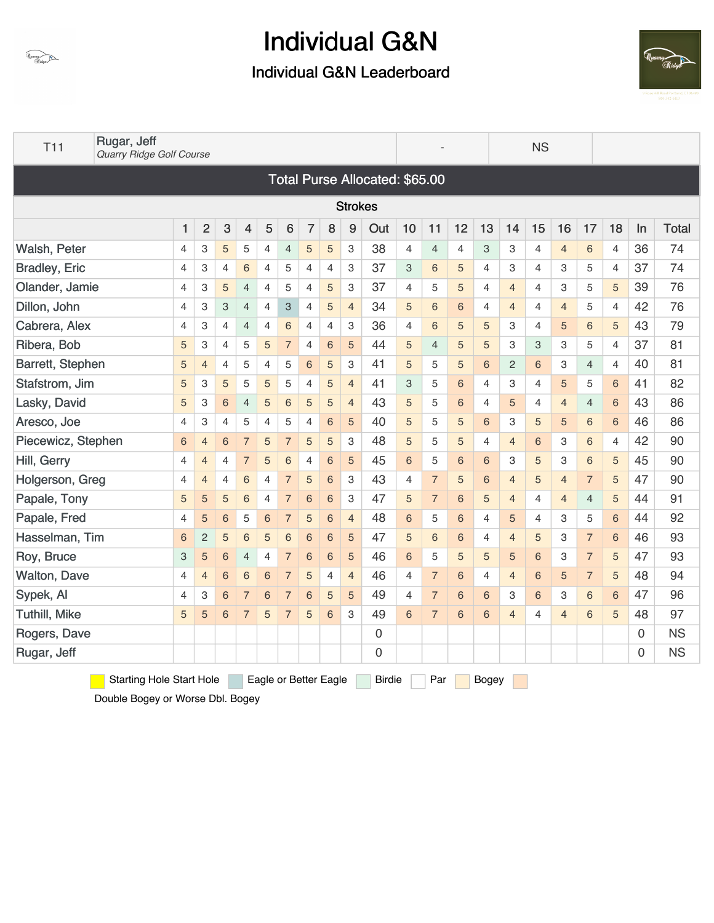



| T11                  | Rugar, Jeff<br>Quarry Ridge Golf Course |                 |                |                |                |                |                           |                |                       |                |                                |                |                |             |                | <b>NS</b>               |                |                |                |                |    |              |
|----------------------|-----------------------------------------|-----------------|----------------|----------------|----------------|----------------|---------------------------|----------------|-----------------------|----------------|--------------------------------|----------------|----------------|-------------|----------------|-------------------------|----------------|----------------|----------------|----------------|----|--------------|
|                      |                                         |                 |                |                |                |                |                           |                |                       |                | Total Purse Allocated: \$65.00 |                |                |             |                |                         |                |                |                |                |    |              |
|                      |                                         |                 |                |                |                |                |                           |                |                       | <b>Strokes</b> |                                |                |                |             |                |                         |                |                |                |                |    |              |
|                      |                                         | 1               | $\overline{2}$ | 3              | 4              | 5              | 6                         | $\overline{7}$ | 8                     | 9              | Out                            | 10             | 11             | 12          | 13             | 14                      | 15             | 16             | 17             | 18             | In | <b>Total</b> |
| Walsh, Peter         |                                         | 4               | 3              | 5              | 5              | 4              | 4                         | 5              | 5                     | 3              | 38                             | 4              | 4              | 4           | 3              | 3                       | 4              | 4              | 6              | 4              | 36 | 74           |
| <b>Bradley, Eric</b> |                                         | 4               | 3              | 4              | 6              | $\overline{4}$ | 5                         | 4              | 4                     | 3              | 37                             | 3              | 6              | 5           | 4              | 3                       | 4              | 3              | 5              | $\overline{4}$ | 37 | 74           |
| Olander, Jamie       |                                         | $\overline{4}$  | 3              | 5              | $\overline{4}$ | $\overline{4}$ | 5                         | $\overline{4}$ | 5                     | 3              | 37                             | $\overline{4}$ | 5              | 5           | $\overline{4}$ | $\overline{4}$          | 4              | 3              | 5              | 5              | 39 | 76           |
| Dillon, John         |                                         | 4               | 3              | 3              | $\overline{4}$ | $\overline{4}$ | $\ensuremath{\mathsf{3}}$ | 4              | 5                     | $\overline{4}$ | 34                             | 5              | 6              | 6           | 4              | $\overline{4}$          | 4              | $\overline{4}$ | 5              | $\overline{4}$ | 42 | 76           |
| Cabrera, Alex        |                                         | $\overline{4}$  | 3              | 4              | $\overline{4}$ | $\overline{4}$ | $\,$ 6 $\,$               | $\overline{4}$ | $\overline{4}$        | 3              | 36                             | 4              | 6              | 5           | 5              | 3                       | 4              | 5              | 6              | 5              | 43 | 79           |
| Ribera, Bob          |                                         | 5               | 3              | 4              | 5              | 5              | $\overline{7}$            | 4              | 6                     | 5              | 44                             | 5              | 4              | 5           | 5              | 3                       | 3              | 3              | 5              | 4              | 37 | 81           |
| Barrett, Stephen     |                                         | 5               | $\overline{4}$ | $\overline{4}$ | 5              | $\overline{4}$ | 5                         | 6              | 5                     | 3              | 41                             | 5              | 5              | 5           | 6              | $\overline{c}$          | 6              | 3              | 4              | 4              | 40 | 81           |
| Stafstrom, Jim       |                                         | 5               | 3              | 5              | 5              | 5              | 5                         | 4              | 5                     | $\overline{4}$ | 41                             | 3              | 5              | 6           | 4              | 3                       | 4              | 5              | 5              | 6              | 41 | 82           |
| Lasky, David         |                                         | 5               | 3              | 6              | $\overline{4}$ | 5              | $6\phantom{1}6$           | 5              | 5                     | $\overline{4}$ | 43                             | 5              | 5              | 6           | $\overline{4}$ | 5                       | 4              | $\overline{4}$ | $\overline{4}$ | 6              | 43 | 86           |
| Aresco, Joe          |                                         | $\overline{4}$  | 3              | $\overline{4}$ | 5              | $\overline{4}$ | 5                         | $\overline{4}$ | 6                     | 5              | 40                             | 5              | 5              | 5           | 6              | 3                       | 5              | 5              | 6              | 6              | 46 | 86           |
| Piecewicz, Stephen   |                                         | $6\phantom{1}6$ | 4              | 6              | $\overline{7}$ | 5              | $\overline{7}$            | 5              | 5                     | 3              | 48                             | 5              | 5              | 5           | 4              | 4                       | 6              | 3              | 6              | 4              | 42 | 90           |
| Hill, Gerry          |                                         | 4               | $\overline{4}$ | 4              | $\overline{7}$ | 5              | 6                         | 4              | 6                     | 5              | 45                             | 6              | 5              | 6           | 6              | 3                       | 5              | 3              | 6              | 5              | 45 | 90           |
| Holgerson, Greg      |                                         | 4               | $\overline{4}$ | 4              | 6              | 4              | $\overline{7}$            | 5              | 6                     | 3              | 43                             | 4              | $\overline{7}$ | 5           | 6              | $\overline{4}$          | 5              | $\overline{4}$ | $\overline{7}$ | 5              | 47 | 90           |
| Papale, Tony         |                                         | 5               | 5              | 5              | $\,$ 6 $\,$    | $\overline{4}$ | $\overline{7}$            | 6              | 6                     | 3              | 47                             | 5              | $\overline{7}$ | 6           | 5              | $\overline{4}$          | 4              | $\overline{4}$ | $\overline{4}$ | 5              | 44 | 91           |
| Papale, Fred         |                                         | 4               | 5              | 6              | 5              | 6              | $\overline{7}$            | 5              | 6                     | $\overline{4}$ | 48                             | 6              | 5              | 6           | 4              | 5                       | 4              | 3              | 5              | 6              | 44 | 92           |
| Hasselman, Tim       |                                         | 6               | $\overline{c}$ | 5              | $\,$ 6 $\,$    | 5              | $\,$ 6 $\,$               | 6              | 6                     | 5              | 47                             | 5              | 6              | $\,$ 6 $\,$ | 4              | $\overline{\mathbf{4}}$ | 5              | 3              | $\overline{7}$ | $\,$ 6 $\,$    | 46 | 93           |
| Roy, Bruce           |                                         | 3               | 5              | 6              | $\overline{4}$ | 4              | $\overline{7}$            | 6              | 6                     | 5              | 46                             | 6              | 5              | 5           | 5              | 5                       | 6              | 3              | $\overline{7}$ | 5              | 47 | 93           |
| <b>Walton, Dave</b>  |                                         | 4               | 4              | 6              | $\,$ 6 $\,$    | 6              | $\overline{7}$            | 5              | 4                     | $\overline{4}$ | 46                             | 4              | $\overline{7}$ | 6           | 4              | 4                       | 6              | 5              | $\overline{7}$ | 5              | 48 | 94           |
| Sypek, Al            |                                         | 4               | 3              | 6              | $\overline{7}$ | 6              | $\overline{7}$            | 6              | 5                     | 5              | 49                             | $\overline{4}$ | $\overline{7}$ | 6           | 6              | 3                       | 6              | 3              | 6              | 6              | 47 | 96           |
| <b>Tuthill, Mike</b> |                                         | 5               | 5              | 6              | $\overline{7}$ | 5              | $\overline{7}$            | 5              | 6                     | 3              | 49                             | 6              | $\overline{7}$ | 6           | 6              | $\overline{4}$          | $\overline{4}$ | $\overline{4}$ | 6              | 5              | 48 | 97           |
| Rogers, Dave         |                                         |                 |                |                |                |                |                           |                |                       |                | $\mathsf{O}\xspace$            |                |                |             |                |                         |                |                |                |                | 0  | <b>NS</b>    |
| Rugar, Jeff          |                                         |                 |                |                |                |                |                           |                |                       |                | $\mathsf{O}\xspace$            |                |                |             |                |                         |                |                |                |                | 0  | <b>NS</b>    |
|                      | <b>Starting Hole Start Hole</b>         |                 |                |                |                |                |                           |                | Eagle or Better Eagle |                | <b>Birdie</b>                  |                | Par            |             | Bogey          |                         |                |                |                |                |    |              |

Double Bogey or Worse Dbl. Bogey

Quarry Ridge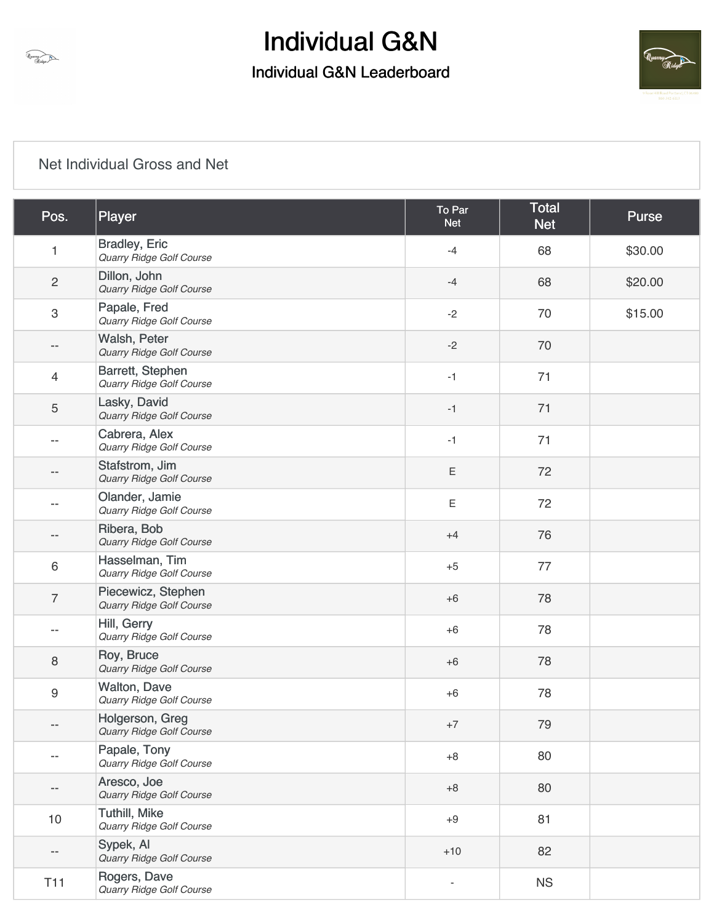### Individual G&N Leaderboard



### [Net Individual Gross and Net](https://static.golfgenius.com/v2tournaments/8471411742503615294?called_from=&round_index=1)

Unavy Ridge

| Pos.                     | Player                                           | To Par<br><b>Net</b> | <b>Total</b><br><b>Net</b> | Purse   |
|--------------------------|--------------------------------------------------|----------------------|----------------------------|---------|
| 1                        | <b>Bradley, Eric</b><br>Quarry Ridge Golf Course | $-4$                 | 68                         | \$30.00 |
| $\overline{c}$           | Dillon, John<br>Quarry Ridge Golf Course         | $-4$                 | 68                         | \$20.00 |
| 3                        | Papale, Fred<br>Quarry Ridge Golf Course         | $-2$                 | 70                         | \$15.00 |
| --                       | Walsh, Peter<br>Quarry Ridge Golf Course         | $-2$                 | 70                         |         |
| 4                        | Barrett, Stephen<br>Quarry Ridge Golf Course     | $-1$                 | 71                         |         |
| $\mathbf 5$              | Lasky, David<br>Quarry Ridge Golf Course         | $-1$                 | 71                         |         |
| $-$                      | Cabrera, Alex<br>Quarry Ridge Golf Course        | $-1$                 | 71                         |         |
| $- -$                    | Stafstrom, Jim<br>Quarry Ridge Golf Course       | $\mathsf E$          | 72                         |         |
|                          | Olander, Jamie<br>Quarry Ridge Golf Course       | $\mathsf E$          | 72                         |         |
| --                       | Ribera, Bob<br>Quarry Ridge Golf Course          | $+4$                 | 76                         |         |
| 6                        | Hasselman, Tim<br>Quarry Ridge Golf Course       | $+5$                 | 77                         |         |
| $\overline{7}$           | Piecewicz, Stephen<br>Quarry Ridge Golf Course   | $+6$                 | 78                         |         |
| $-$                      | Hill, Gerry<br>Quarry Ridge Golf Course          | $+6$                 | 78                         |         |
| 8                        | Roy, Bruce<br>Quarry Ridge Golf Course           | $+6$                 | 78                         |         |
| 9                        | <b>Walton, Dave</b><br>Quarry Ridge Golf Course  | $+6$                 | 78                         |         |
|                          | Holgerson, Greg<br>Quarry Ridge Golf Course      | $+7$                 | 79                         |         |
| $-$                      | Papale, Tony<br>Quarry Ridge Golf Course         | $+8$                 | 80                         |         |
| $- -$                    | Aresco, Joe<br>Quarry Ridge Golf Course          | $+8$                 | 80                         |         |
| 10                       | <b>Tuthill, Mike</b><br>Quarry Ridge Golf Course | $+9$                 | 81                         |         |
| $\overline{\phantom{a}}$ | Sypek, Al<br>Quarry Ridge Golf Course            | $+10$                | 82                         |         |
| T <sub>11</sub>          | Rogers, Dave<br>Quarry Ridge Golf Course         |                      | <b>NS</b>                  |         |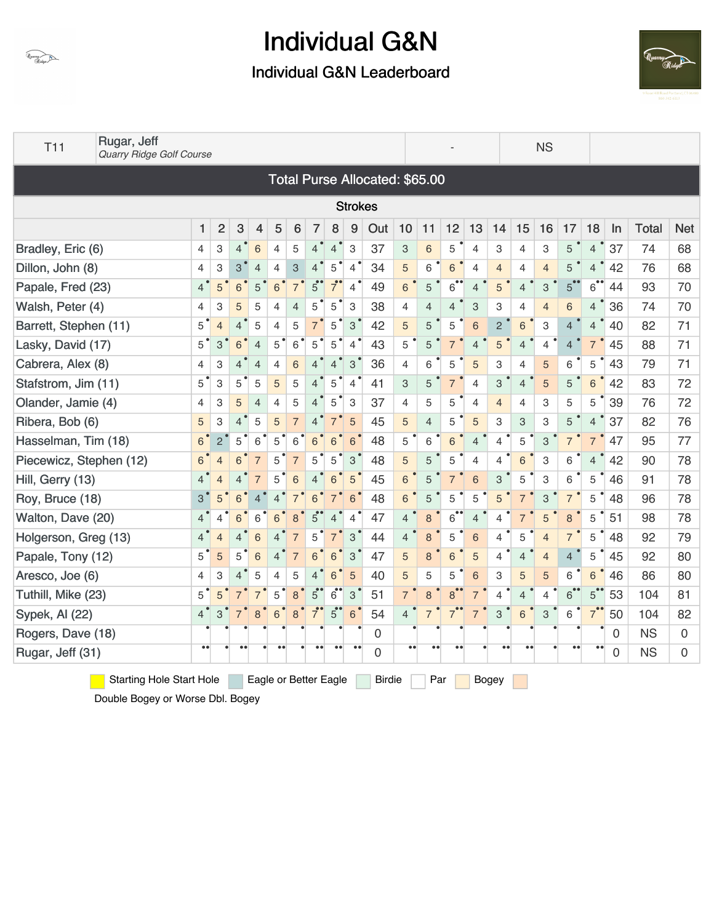

### Individual G&N Leaderboard



| <b>T11</b>              | Rugar, Jeff<br>Quarry Ridge Golf Course |                  |                |                |                |                |                |                |                |                |                                       |                |                |                  |                |                |                  | <b>NS</b>      |                  |                 |    |              |            |
|-------------------------|-----------------------------------------|------------------|----------------|----------------|----------------|----------------|----------------|----------------|----------------|----------------|---------------------------------------|----------------|----------------|------------------|----------------|----------------|------------------|----------------|------------------|-----------------|----|--------------|------------|
|                         |                                         |                  |                |                |                |                |                |                |                |                | <b>Total Purse Allocated: \$65.00</b> |                |                |                  |                |                |                  |                |                  |                 |    |              |            |
|                         |                                         |                  |                |                |                |                |                |                |                | <b>Strokes</b> |                                       |                |                |                  |                |                |                  |                |                  |                 |    |              |            |
|                         |                                         | 1                | $\overline{2}$ | 3              | 4              | 5              | 6              | 7              | 8              | 9              | Out                                   | 10             | 11             | 12               | 13             | 14             | 15               | 16             | 17               | 18              | In | <b>Total</b> | <b>Net</b> |
| Bradley, Eric (6)       |                                         | 4                | 3              | $\overline{4}$ | 6              | 4              | 5              | $\overline{4}$ | $\overline{4}$ | 3              | 37                                    | 3              | 6              | 5                | $\overline{4}$ | 3              | 4                | 3              | 5                | $\overline{4}$  | 37 | 74           | 68         |
| Dillon, John (8)        |                                         | 4                | 3              | 3              | $\overline{4}$ | 4              | 3              | $\overline{4}$ | 5              | $\overline{4}$ | 34                                    | 5              | 6              | 6                | $\overline{4}$ | $\overline{4}$ | 4                | $\overline{4}$ | 5                | $\overline{4}$  | 42 | 76           | 68         |
| Papale, Fred (23)       |                                         | $\overline{4}$   | $5^{\degree}$  | 6              | 5              | $6\phantom{1}$ | $\overline{7}$ | $5^{\circ}$    |                | $\overline{4}$ | 49                                    | 6              | 5              | $6 \bullet$      | 4              | 5              | $\overline{4}$   | 3              | $5^{\degree}$    | $6$ <sup></sup> | 44 | 93           | 70         |
| Walsh, Peter (4)        |                                         | 4                | 3              | 5              | 5              | 4              | $\overline{4}$ | 5              | 5              | 3              | 38                                    | 4              | $\overline{4}$ | 4                | 3              | 3              | 4                | $\overline{4}$ | 6                | $\overline{4}$  | 36 | 74           | 70         |
| Barrett, Stephen (11)   |                                         | 5                | $\overline{4}$ | 4              | 5              | 4              | 5              | $\overline{7}$ | 5              | $3^{\prime}$   | 42                                    | 5              | 5              | 5                | 6              | $\overline{2}$ | 6                | 3              | 4                | $\overline{4}$  | 40 | 82           | 71         |
| Lasky, David (17)       |                                         | 5                | 3              | 6              | $\overline{4}$ | 5              | 6              | 5              | 5              | $\overline{4}$ | 43                                    | 5              | 5              |                  | $\overline{4}$ | 5              | $\overline{4}$   | 4              | $\overline{4}$   | $\overline{7}$  | 45 | 88           | 71         |
| Cabrera, Alex (8)       |                                         | 4                | 3              | $\overline{4}$ | $\overline{4}$ | 4              | $6\,$          | $\overline{4}$ | $\overline{4}$ | 3              | 36                                    | 4              | 6              | 5                | 5              | 3              | $\overline{4}$   | 5              | 6                | 5               | 43 | 79           | 71         |
| Stafstrom, Jim (11)     |                                         | 5                | 3              | $5^{\degree}$  | 5              | 5              | 5              | $\overline{4}$ | 5              | $\overline{4}$ | 41                                    | 3              | 5              | $\overline{7}$   | $\overline{4}$ | 3              | $\overline{4}$   | 5              | 5                | $6\phantom{1}$  | 42 | 83           | 72         |
| Olander, Jamie (4)      |                                         | 4                | 3              | 5              | $\overline{4}$ | 4              | 5              | $4^{\circ}$    | 5              | 3              | 37                                    | 4              | 5              | 5                | 4              | $\overline{4}$ | 4                | 3              | 5                | 5               | 39 | 76           | 72         |
| Ribera, Bob (6)         |                                         | 5                | 3              | $\overline{4}$ | 5              | 5              | $\overline{7}$ | $\overline{4}$ | $\overline{7}$ | 5              | 45                                    | 5              | $\overline{4}$ | 5                | 5              | 3              | 3                | 3              | 5                | $\overline{4}$  | 37 | 82           | 76         |
| Hasselman, Tim (18)     |                                         | $6^{\circ}$      | $\overline{2}$ | 5              | 6              | 5              | 6              | 6              | 6              | 6              | 48                                    | 5              | 6              | 6                | $\overline{4}$ | 4              | 5                | $\mathbf{3}$   | $\overline{7}$   | $\overline{7}$  | 47 | 95           | 77         |
| Piecewicz, Stephen (12) |                                         | $6^{\degree}$    | $\overline{4}$ | 6              | $\overline{7}$ | 5              | $\overline{7}$ | 5              | 5              | 3              | 48                                    | 5              | 5              | 5                | $\overline{4}$ | 4              | 6                | 3              | 6                | $\overline{4}$  | 42 | 90           | 78         |
| Hill, Gerry (13)        |                                         | 4                | $\overline{4}$ | 4              | $\overline{7}$ | 5              | 6              | $\overline{4}$ | 6              | 5              | 45                                    | 6              | 5              |                  | 6              | 3              | 5                | 3              | 6                | 5               | 46 | 91           | 78         |
| Roy, Bruce (18)         |                                         | 3                | 5              | 6              | 4              | 4              |                | 6              |                | 6              | 48                                    | 6              | 5              | 5                | 5              | 5              | $\overline{7}$   | 3              | $\overline{7}$   | 5               | 48 | 96           | 78         |
| Walton, Dave (20)       |                                         | 4                | 4              | 6              | 6              | 6              | 8              | 5              | 4              | $\overline{4}$ | 47                                    | $\overline{4}$ | 8              | $\overline{6}$   | $\overline{4}$ | 4              | $\overline{7}$   | 5              | 8                | 5               | 51 | 98           | 78         |
| Holgerson, Greg (13)    |                                         | 4                | $\overline{4}$ | ⊿              | 6              |                |                | 5              |                | 3              | 44                                    | $\overline{4}$ | 8              | 5                | 6              | 4              | 5                | $\overline{4}$ | $\overline{7}$   | 5               | 48 | 92           | 79         |
| Papale, Tony (12)       |                                         | 5                | 5              | 5              | 6              | 4              | $\overline{7}$ | 6              | 6              | 3              | 47                                    | 5              | 8              | 6                | 5              | 4              | $\overline{4}$   | $\overline{4}$ | $\overline{4}$   | 5               | 45 | 92           | 80         |
| Aresco, Joe (6)         |                                         | 4                | 3              | $\overline{4}$ | 5              | 4              | 5              | $\overline{4}$ | 6              | 5              | 40                                    | 5              | 5              | 5                | 6              | 3              | 5                | 5              | 6                | $6\phantom{1}$  | 46 | 86           | 80         |
| Tuthill, Mike (23)      |                                         | $5^{\degree}$    |                |                | $\overline{7}$ | 5              | 8              | $\overline{5}$ | $6$ °          | 3              | 51                                    | $\overline{7}$ | 8              | 8                |                | 4              | $\overline{4}$   | $\overline{4}$ | 6                | $5^{\degree}$   | 53 | 104          | 81         |
| Sypek, Al (22)          |                                         | 4                | 3              |                | 8              | 6              | 8              |                | $5^{\bullet}$  | $6\phantom{1}$ | 54                                    | $\overline{4}$ | $\overline{7}$ |                  | $\overline{7}$ | 3              | 6                | $\mathbf{3}$   | $\,6$            | $\overline{7}$  | 50 | 104          | 82         |
| Rogers, Dave (18)       |                                         |                  |                |                |                |                |                |                |                |                | 0                                     |                |                |                  |                |                |                  |                |                  |                 | 0  | <b>NS</b>    | 0          |
| Rugar, Jeff (31)        |                                         | $\bullet\bullet$ |                | $^{\circ}$     |                | $^{\circ}$     |                |                |                | $\bullet$      | 0                                     | $\bullet$      | $\bullet$      | $\bullet\bullet$ |                | $\bullet$      | $\bullet\bullet$ |                | $\bullet\bullet$ | $\bullet$       | 0  | <b>NS</b>    | 0          |

Starting Hole Start Hole Eagle or Better Eagle Birdie Par Bogey

Double Bogey or Worse Dbl. Bogey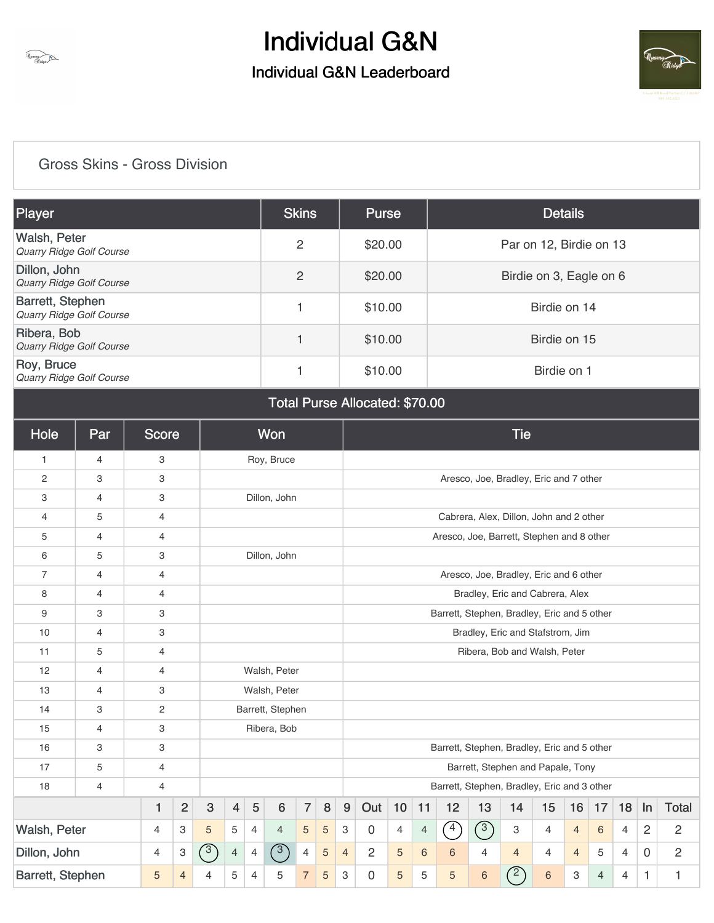



### [Gross Skins - Gross Division](https://static.golfgenius.com/v2tournaments/8471411694151678779?called_from=&round_index=1)

Quarry Ridge

| Player                                              | <b>Skins</b> | <b>Purse</b> | <b>Details</b>          |
|-----------------------------------------------------|--------------|--------------|-------------------------|
| Walsh, Peter<br><b>Quarry Ridge Golf Course</b>     | 2            | \$20.00      | Par on 12, Birdie on 13 |
| Dillon, John<br><b>Quarry Ridge Golf Course</b>     | 2            | \$20.00      | Birdie on 3, Eagle on 6 |
| Barrett, Stephen<br><b>Quarry Ridge Golf Course</b> |              | \$10.00      | Birdie on 14            |
| Ribera, Bob<br>Quarry Ridge Golf Course             |              | \$10.00      | Birdie on 15            |
| Roy, Bruce<br>Quarry Ridge Golf Course              |              | \$10.00      | Birdie on 1             |

Total Purse Allocated: \$70.00

| Hole             | Par            | <b>Score</b>   |                |              |                |                | Won              |                |                                             |                                                                                      |                |   |   |                                             |                | <b>Tie</b>                              |                |                |                |                |                |                |
|------------------|----------------|----------------|----------------|--------------|----------------|----------------|------------------|----------------|---------------------------------------------|--------------------------------------------------------------------------------------|----------------|---|---|---------------------------------------------|----------------|-----------------------------------------|----------------|----------------|----------------|----------------|----------------|----------------|
| $\mathbf{1}$     | 4              | 3              |                |              |                |                | Roy, Bruce       |                |                                             |                                                                                      |                |   |   |                                             |                |                                         |                |                |                |                |                |                |
| 2                | 3              | 3              |                |              |                |                |                  |                |                                             |                                                                                      |                |   |   |                                             |                | Aresco, Joe, Bradley, Eric and 7 other  |                |                |                |                |                |                |
| 3                | $\overline{4}$ | 3              |                |              |                |                | Dillon, John     |                |                                             |                                                                                      |                |   |   |                                             |                |                                         |                |                |                |                |                |                |
| 4                | 5              | 4              |                |              |                |                |                  |                |                                             |                                                                                      |                |   |   |                                             |                | Cabrera, Alex, Dillon, John and 2 other |                |                |                |                |                |                |
| 5                | 4              | 4              |                |              |                |                |                  |                |                                             |                                                                                      |                |   |   | Aresco, Joe, Barrett, Stephen and 8 other   |                |                                         |                |                |                |                |                |                |
| 6                | 5              | 3              |                |              |                |                | Dillon, John     |                |                                             |                                                                                      |                |   |   |                                             |                |                                         |                |                |                |                |                |                |
| $\overline{7}$   | 4              | 4              |                |              |                |                |                  |                |                                             |                                                                                      |                |   |   |                                             |                | Aresco, Joe, Bradley, Eric and 6 other  |                |                |                |                |                |                |
| 8                | 4              | 4              |                |              |                |                |                  |                |                                             |                                                                                      |                |   |   |                                             |                | Bradley, Eric and Cabrera, Alex         |                |                |                |                |                |                |
| 9                | 3              | 3              |                |              |                |                |                  |                | Barrett, Stephen, Bradley, Eric and 5 other |                                                                                      |                |   |   |                                             |                |                                         |                |                |                |                |                |                |
| 10               | 4              | 3              |                |              |                |                |                  |                | Bradley, Eric and Stafstrom, Jim            |                                                                                      |                |   |   |                                             |                |                                         |                |                |                |                |                |                |
| 11               | 5              | $\overline{4}$ |                |              |                |                |                  |                |                                             |                                                                                      |                |   |   |                                             |                | Ribera, Bob and Walsh, Peter            |                |                |                |                |                |                |
| 12               | $\overline{4}$ | $\overline{4}$ |                |              |                |                | Walsh, Peter     |                |                                             |                                                                                      |                |   |   |                                             |                |                                         |                |                |                |                |                |                |
| 13               | $\overline{4}$ | 3              |                |              |                |                | Walsh, Peter     |                |                                             |                                                                                      |                |   |   |                                             |                |                                         |                |                |                |                |                |                |
| 14               | 3              | $\overline{c}$ |                |              |                |                | Barrett, Stephen |                |                                             |                                                                                      |                |   |   |                                             |                |                                         |                |                |                |                |                |                |
| 15               | 4              | 3              |                |              |                |                | Ribera, Bob      |                |                                             |                                                                                      |                |   |   |                                             |                |                                         |                |                |                |                |                |                |
| 16               | 3              | 3              |                |              |                |                |                  |                |                                             |                                                                                      |                |   |   | Barrett, Stephen, Bradley, Eric and 5 other |                |                                         |                |                |                |                |                |                |
| 17               | 5              | 4              |                |              |                |                |                  |                |                                             |                                                                                      |                |   |   |                                             |                | Barrett, Stephen and Papale, Tony       |                |                |                |                |                |                |
| 18               | 4              | 4              |                |              |                |                |                  |                |                                             |                                                                                      |                |   |   | Barrett, Stephen, Bradley, Eric and 3 other |                |                                         |                |                |                |                |                |                |
|                  |                | 1              | $\overline{2}$ | $\mathbf{3}$ | $\overline{4}$ | $\sqrt{5}$     | 6                | $\overline{7}$ | $\bf 8$                                     | Out<br>10<br>9<br>11<br>12<br>13<br>18<br><b>Total</b><br>14<br>15<br>16<br>17<br>ln |                |   |   |                                             |                |                                         |                |                |                |                |                |                |
| Walsh, Peter     |                | 4              | 3              | 5            | 5              | $\overline{4}$ | $\overline{4}$   | 5              | 5                                           | 3                                                                                    | $\mathbf 0$    | 4 | 4 | $\curvearrowleft$                           | (3)            | 3                                       | 4              | $\overline{4}$ | 6              | 4              | $\overline{c}$ | $\overline{2}$ |
| Dillon, John     |                | 4              | 3              | $\sqrt{3}$   | $\overline{4}$ | $\overline{4}$ | $\bigcirc$       | $\overline{4}$ | 5                                           | $\overline{4}$                                                                       | $\overline{2}$ | 5 | 6 | 6                                           | $\overline{4}$ | $\overline{4}$                          | 4              | $\overline{4}$ | 5              | $\overline{4}$ | 0              | $\overline{2}$ |
| Barrett, Stephen |                | 5              | $\overline{4}$ | 4            | 5              | $\overline{4}$ | 5                | $\overline{7}$ | 5                                           | 3                                                                                    | 0              | 5 | 5 | 5                                           | $\,6$          | $\mathbb{Z}$                            | $6\phantom{a}$ | 3              | $\overline{4}$ | 4              | 1              | 1              |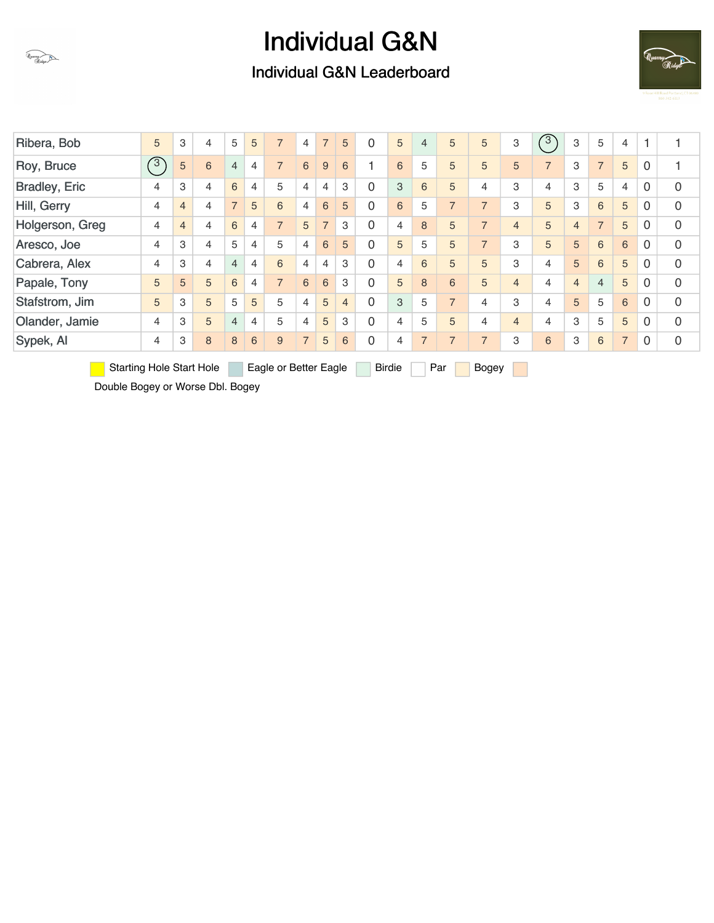### Individual G&N Leaderboard



| Ribera, Bob          |                                 | 5             | 3              | 4 | 5              | 5              | $\overline{7}$        | 4              | $\overline{7}$ | 5              | $\Omega$       | 5             | 4              | 5              | 5              | 3              | $\sqrt{3}$     | 3              | 5              | 4              |          |                |
|----------------------|---------------------------------|---------------|----------------|---|----------------|----------------|-----------------------|----------------|----------------|----------------|----------------|---------------|----------------|----------------|----------------|----------------|----------------|----------------|----------------|----------------|----------|----------------|
| Roy, Bruce           |                                 | $\widehat{3}$ | 5              | 6 | $\overline{4}$ | 4              | $\overline{7}$        | 6              | 9              | 6              |                | 6             | 5              | 5              | 5              | 5              | $\overline{7}$ | 3              | $\overline{7}$ | 5              | 0        |                |
| <b>Bradley, Eric</b> |                                 | 4             | 3              | 4 | 6              | 4              | 5                     | 4              | 4              | 3              | $\Omega$       | 3             | 6              | 5              | 4              | 3              | $\overline{4}$ | 3              | 5              | $\overline{4}$ | $\Omega$ | $\mathbf 0$    |
| Hill, Gerry          |                                 | 4             | $\overline{4}$ | 4 | $\overline{7}$ | 5              | 6                     | 4              | 6              | 5              | $\overline{0}$ | 6             | 5              | $\overline{7}$ | $\overline{7}$ | 3              | 5              | 3              | 6              | 5              | $\Omega$ | $\overline{0}$ |
| Holgerson, Greg      |                                 | 4             | $\overline{4}$ | 4 | 6              | 4              | $\overline{7}$        | 5              | $\overline{7}$ | 3              | $\Omega$       | 4             | 8              | 5              | $\overline{7}$ | $\overline{4}$ | 5              | $\overline{4}$ | $\overline{7}$ | 5              | 0        | $\overline{0}$ |
| Aresco, Joe          |                                 | 4             | 3              | 4 | 5              | 4              | 5                     | 4              | 6              | 5              | $\Omega$       | 5             | 5              | 5              | $\overline{7}$ | 3              | 5              | 5              | 6              | 6              | $\Omega$ | $\overline{0}$ |
| Cabrera, Alex        |                                 | 4             | 3              | 4 | 4              | $\overline{4}$ | 6                     | 4              | 4              | 3              | $\Omega$       | 4             | 6              | 5              | 5              | 3              | 4              | 5              | 6              | 5              | $\Omega$ | $\overline{0}$ |
| Papale, Tony         |                                 | 5             | 5              | 5 | 6              | 4              | $\overline{7}$        | 6              | 6              | 3              | $\Omega$       | 5             | 8              | 6              | 5              | $\overline{4}$ | 4              | $\overline{4}$ | $\overline{4}$ | 5              | 0        | $\Omega$       |
| Stafstrom, Jim       |                                 | 5             | 3              | 5 | 5              | 5              | 5                     | 4              | 5              | $\overline{4}$ | $\overline{0}$ | 3             | 5              | $\overline{7}$ | 4              | 3              | 4              | 5              | 5              | 6              | 0        | $\overline{0}$ |
| Olander, Jamie       |                                 | 4             | 3              | 5 | 4              | 4              | 5                     | 4              | 5              | 3              | $\Omega$       | 4             | 5              | 5              | 4              | $\overline{4}$ | 4              | 3              | 5              | 5              | 0        | 0              |
| Sypek, Al            |                                 | 4             | 3              | 8 | 8              | 6              | 9                     | $\overline{7}$ | 5              | 6              | $\overline{0}$ | 4             | $\overline{7}$ | $\overline{7}$ | $\overline{7}$ | 3              | 6              | 3              | 6              | $\overline{7}$ | 0        | $\overline{0}$ |
|                      | <b>Starting Hole Start Hole</b> |               |                |   |                |                | Eagle or Better Eagle |                |                |                |                | <b>Birdie</b> |                | Par            | Bogey          |                |                |                |                |                |          |                |

Double Bogey or Worse Dbl. Bogey

Quarry Ridge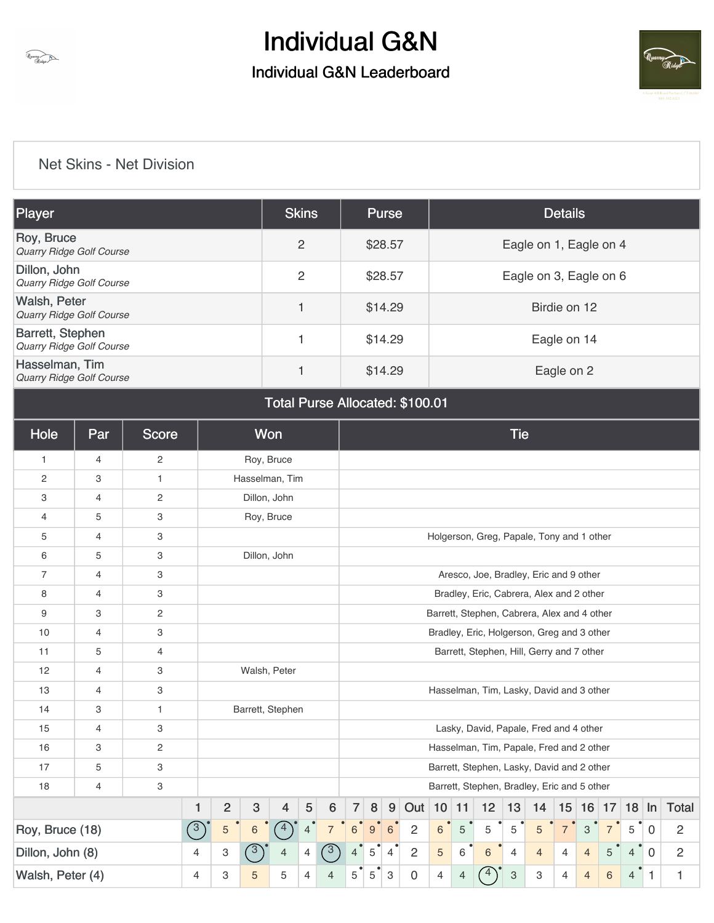



### [Net Skins - Net Division](https://static.golfgenius.com/v2tournaments/8471411722773609276?called_from=&round_index=1)

Unavy

| <b>Player</b>                                   | <b>Skins</b> | <b>Purse</b> | <b>Details</b>         |
|-------------------------------------------------|--------------|--------------|------------------------|
| Roy, Bruce<br>Quarry Ridge Golf Course          | 2            | \$28.57      | Eagle on 1, Eagle on 4 |
| Dillon, John<br>Quarry Ridge Golf Course        | 2            | \$28.57      | Eagle on 3, Eagle on 6 |
| Walsh, Peter<br><b>Quarry Ridge Golf Course</b> |              | \$14.29      | Birdie on 12           |
| Barrett, Stephen<br>Quarry Ridge Golf Course    |              | \$14.29      | Eagle on 14            |
| Hasselman, Tim<br>Quarry Ridge Golf Course      |              | \$14.29      | Eagle on 2             |

#### Total Purse Allocated: \$100.01

| Hole             | Par            | <b>Score</b>          |               |                | Won              |                  |                                             |                 |                                                                                                                                                                                          |   |                |                |            |   |                                             | <b>Tie</b>                |                |                |                |   |   |                |                |
|------------------|----------------|-----------------------|---------------|----------------|------------------|------------------|---------------------------------------------|-----------------|------------------------------------------------------------------------------------------------------------------------------------------------------------------------------------------|---|----------------|----------------|------------|---|---------------------------------------------|---------------------------|----------------|----------------|----------------|---|---|----------------|----------------|
| $\mathbf{1}$     | 4              | $\mathbf{2}^{\prime}$ |               |                | Roy, Bruce       |                  |                                             |                 |                                                                                                                                                                                          |   |                |                |            |   |                                             |                           |                |                |                |   |   |                |                |
| $\mathbf{2}$     | 3              | $\mathbf{1}$          |               |                | Hasselman, Tim   |                  |                                             |                 |                                                                                                                                                                                          |   |                |                |            |   |                                             |                           |                |                |                |   |   |                |                |
| 3                | 4              | $\sqrt{2}$            |               |                | Dillon, John     |                  |                                             |                 |                                                                                                                                                                                          |   |                |                |            |   |                                             |                           |                |                |                |   |   |                |                |
| 4                | 5              | 3                     |               |                | Roy, Bruce       |                  |                                             |                 |                                                                                                                                                                                          |   |                |                |            |   |                                             |                           |                |                |                |   |   |                |                |
| 5                | 4              | 3                     |               |                |                  |                  |                                             |                 |                                                                                                                                                                                          |   |                |                |            |   | Holgerson, Greg, Papale, Tony and 1 other   |                           |                |                |                |   |   |                |                |
| 6                | 5              | 3                     |               |                | Dillon, John     |                  |                                             |                 |                                                                                                                                                                                          |   |                |                |            |   |                                             |                           |                |                |                |   |   |                |                |
| $\overline{7}$   | $\overline{4}$ | 3                     |               |                |                  |                  |                                             |                 |                                                                                                                                                                                          |   |                |                |            |   | Aresco, Joe, Bradley, Eric and 9 other      |                           |                |                |                |   |   |                |                |
| 8                | 4              | 3                     |               |                |                  |                  |                                             |                 |                                                                                                                                                                                          |   |                |                |            |   | Bradley, Eric, Cabrera, Alex and 2 other    |                           |                |                |                |   |   |                |                |
| 9                | 3              | $\sqrt{2}$            |               |                |                  |                  | Barrett, Stephen, Cabrera, Alex and 4 other |                 |                                                                                                                                                                                          |   |                |                |            |   |                                             |                           |                |                |                |   |   |                |                |
| 10               | 4              | 3                     |               |                |                  |                  |                                             |                 |                                                                                                                                                                                          |   |                |                |            |   | Bradley, Eric, Holgerson, Greg and 3 other  |                           |                |                |                |   |   |                |                |
| 11               | 5              | 4                     |               |                |                  |                  |                                             |                 |                                                                                                                                                                                          |   |                |                |            |   | Barrett, Stephen, Hill, Gerry and 7 other   |                           |                |                |                |   |   |                |                |
| 12               | 4              | 3                     |               |                | Walsh, Peter     |                  |                                             |                 |                                                                                                                                                                                          |   |                |                |            |   |                                             |                           |                |                |                |   |   |                |                |
| 13               | 4              | 3                     |               |                |                  |                  |                                             |                 |                                                                                                                                                                                          |   |                |                |            |   | Hasselman, Tim, Lasky, David and 3 other    |                           |                |                |                |   |   |                |                |
| 14               | 3              | $\mathbf{1}$          |               |                | Barrett, Stephen |                  |                                             |                 |                                                                                                                                                                                          |   |                |                |            |   |                                             |                           |                |                |                |   |   |                |                |
| 15               | 4              | 3                     |               |                |                  |                  |                                             |                 |                                                                                                                                                                                          |   |                |                |            |   | Lasky, David, Papale, Fred and 4 other      |                           |                |                |                |   |   |                |                |
| 16               | 3              | $\overline{c}$        |               |                |                  |                  |                                             |                 |                                                                                                                                                                                          |   |                |                |            |   | Hasselman, Tim, Papale, Fred and 2 other    |                           |                |                |                |   |   |                |                |
| 17               | 5              | 3                     |               |                |                  |                  |                                             |                 |                                                                                                                                                                                          |   |                |                |            |   | Barrett, Stephen, Lasky, David and 2 other  |                           |                |                |                |   |   |                |                |
| 18               | 4              | 3                     |               |                |                  |                  |                                             |                 |                                                                                                                                                                                          |   |                |                |            |   | Barrett, Stephen, Bradley, Eric and 5 other |                           |                |                |                |   |   |                |                |
|                  |                |                       | 1             | $\overline{2}$ | 3                | 4                | 5                                           | $6\phantom{1}6$ | $\overline{7}$<br>8<br>9<br>Out   10   11<br>12<br>13<br>$15$ 16 17 18 In<br>Total<br>14                                                                                                 |   |                |                |            |   |                                             |                           |                |                |                |   |   |                |                |
| Roy, Bruce (18)  |                |                       | $\binom{3}{}$ | 5              | 6                | $\left(4\right)$ | $\overline{4}$                              | $\overline{7}$  | $\overline{c}$<br>$\mathbf{3}$<br>$\,6\,$<br>$9\,$<br>$6\phantom{1}6$<br>$6\phantom{a}$<br>5<br>5<br>5<br>$\overline{7}$<br>$\overline{7}$<br>5<br>5<br>$\overline{2}$<br>$\overline{0}$ |   |                |                |            |   |                                             |                           |                |                |                |   |   |                |                |
| Dillon, John (8) |                |                       | 4             | 3              | $\binom{3}{ }$   | 4                | 4                                           | $\sqrt{3}$      | 4                                                                                                                                                                                        | 5 | $\overline{4}$ | $\overline{2}$ | $\sqrt{5}$ | 6 | 6                                           | $\overline{4}$            | $\overline{4}$ | 4              | $\overline{4}$ | 5 | 4 | $\overline{0}$ | $\overline{2}$ |
| Walsh, Peter (4) |                |                       | 4             | 3              | 5                | 5                | 4                                           | 4               | 5                                                                                                                                                                                        | 5 | $\mathbf{3}$   | $\mathbf 0$    | 4          | 4 | 4                                           | $\ensuremath{\mathsf{3}}$ | 3              | $\overline{4}$ | $\overline{4}$ | 6 | 4 | $\mathbf{1}$   | 1              |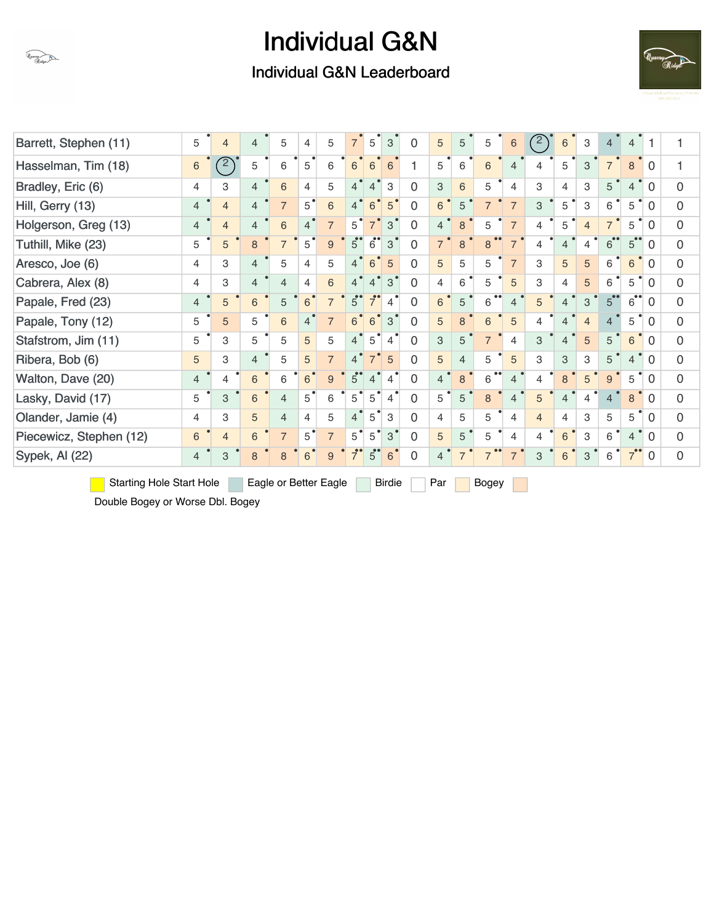Individual G&N Leaderboard



| Barrett, Stephen (11)           | 5              | $\overline{4}$ | $\overline{4}$ | 5                     | 4              | 5              | $\overline{7}$       | $\overline{5}$         | 3                         | 0              | 5              | 5              | 5              | 6              | $\binom{2}{ }$ | $\,6\,$        | 3              | $\overline{4}$       | $\overline{4}$                  | -1             |                |
|---------------------------------|----------------|----------------|----------------|-----------------------|----------------|----------------|----------------------|------------------------|---------------------------|----------------|----------------|----------------|----------------|----------------|----------------|----------------|----------------|----------------------|---------------------------------|----------------|----------------|
| Hasselman, Tim (18)             | 6              | $\mathbb{Z}$   | 5              | 6                     | 5              | 6              | 6                    | 6                      | 6                         |                | 5              | 6              | 6              | $\overline{4}$ | 4              | 5              | 3              | $\overline{7}$       | 8                               | $\Omega$       |                |
| Bradley, Eric (6)               | 4              | 3              | $\overline{4}$ | 6                     | $\overline{4}$ | 5              | $\overline{4}$       | $\overline{4}$         | 3                         | $\overline{0}$ | 3              | 6              | 5              | $\overline{4}$ | 3              | $\overline{4}$ | 3              | 5                    | $\overline{4}$                  | $\Omega$       | $\overline{0}$ |
| Hill, Gerry (13)                | $\overline{4}$ | $\overline{4}$ | $\overline{4}$ | $\overline{7}$        | $\overline{5}$ | 6              | $\overline{4}$       | $6\phantom{1}$         | 5                         | $\Omega$       | 6              | 5              |                | $\overline{7}$ | 3              | 5              | 3              | 6                    | 5                               | $\Omega$       | 0              |
| Holgerson, Greg (13)            | $\overline{4}$ | $\overline{4}$ | $\overline{4}$ | 6                     | $\overline{4}$ | $\overline{7}$ | 5                    | $\overline{7}$         | $\mathbf{3}$              | $\overline{0}$ | $\overline{4}$ | 8              | 5              | $\overline{7}$ | 4              | 5              | $\overline{4}$ | $\overline{7}$       | 5                               | $\Omega$       | 0              |
| Tuthill, Mike (23)              | 5              | 5              | 8              | $\overline{7}$        | $5^{\degree}$  | 9              | $5^\circ$            | 6                      | $\mathbf{3}$              | 0              | $\overline{7}$ | 8              | 8              | $\overline{7}$ | 4              | $\overline{4}$ | 4              | $6^{\bullet\bullet}$ | $5^{\circ}$                     | 0              | $\Omega$       |
| Aresco, Joe (6)                 | 4              | 3              | $\overline{4}$ | 5                     | 4              | 5              | $\overline{4}$       | $6\phantom{1}$         | 5                         | 0              | 5              | 5              | 5              | $\overline{7}$ | 3              | 5              | 5              | 6                    | 6                               | $\overline{0}$ | 0              |
| Cabrera, Alex (8)               | 4              | З              | $\overline{4}$ | $\overline{4}$        | 4              | 6              | $\overline{4}$       | $\overline{4}$         | $\mathbf{3}^{\mathsf{I}}$ | $\overline{0}$ | $\overline{4}$ | 6              | 5              | 5              | 3              | $\overline{4}$ | 5              | 6                    | 5                               | $\Omega$       | 0              |
| Papale, Fred (23)               | $\overline{4}$ | 5              | 6              | 5                     | 6 <sup>°</sup> | $\overline{7}$ | $5^\circ$            | $\overline{7}^{\circ}$ | $\overline{4}$            | $\Omega$       | 6              | 5              | 6              | $\overline{4}$ | 5              | $\overline{4}$ | 3              | 5 <sup>o</sup>       | $\bullet\bullet$<br>$6^{\circ}$ | 0              | 0              |
| Papale, Tony (12)               | 5              | 5              | 5              | 6                     | $\overline{4}$ | $\overline{7}$ | 6 <sup>°</sup>       | 6                      | $\mathbf{3}$              | 0              | 5              | 8              | 6              | $\sqrt{5}$     | 4              | $\overline{4}$ | $\overline{4}$ | $\overline{4}$       | 5                               | 0              | 0              |
| Stafstrom, Jim (11)             | 5              | З              | 5              | 5                     | 5              | 5              | 4 <sup>°</sup>       | $5^{\circ}$            | $\overline{4}$            | 0              | 3              | 5              | $\overline{7}$ | $\overline{4}$ | 3              | $\overline{4}$ | 5              | 5                    | 6                               | $\overline{0}$ | 0              |
| Ribera, Bob (6)                 | 5              | З              | $\overline{4}$ | 5                     | 5              | $\overline{7}$ | $\overline{4}$       | 7'                     | 5                         | 0              | $\overline{5}$ | $\overline{4}$ | 5              | $\sqrt{5}$     | 3              | 3              | 3              | 5                    | 4                               | $\Omega$       | 0              |
| Walton, Dave (20)               | 4              | 4              | 6              | 6                     | 6 <sup>°</sup> | 9              | 5 <sup>o</sup>       | $\overline{4}$         | $\overline{4}$            | 0              | $\overline{4}$ | 8              | 6              | 4              | 4              | 8              | 5              | 9                    | 5                               | 0              | 0              |
| Lasky, David (17)               | 5              | 3              | 6              | $\overline{4}$        | $5^{\degree}$  | 6              | $5^{\bullet}$        | $5^{\circ}$            | $\overline{4}$            | 0              | 5              | 5              | 8              | 4              | 5              | 4              | $\overline{4}$ | 4                    | 8                               | $\overline{0}$ | 0              |
| Olander, Jamie (4)              | 4              | 3              | 5              | $\overline{4}$        | $\overline{4}$ | 5              | 4 <sup>°</sup>       | $\overline{5}$         | 3                         | 0              | 4              | 5              | 5              | 4              | $\overline{4}$ | $\overline{4}$ | 3              | 5                    | 5                               | $\Omega$       | 0              |
| Piecewicz, Stephen (12)         | 6              | $\overline{4}$ | 6              | $\overline{7}$        | 5              | $\overline{7}$ | 5                    | 5                      | $3^{\degree}$             | 0              | 5              | 5              | 5              | 4              | 4              | 6              | 3              | 6                    | 4                               | $\Omega$       | 0              |
| Sypek, Al (22)                  | 4              | 3              | 8              | 8                     | 6              | 9              | $\overline{7}^\circ$ | $5^{\circ}$            | 6                         | $\Omega$       | 4              | $\overline{7}$ |                | $\overline{7}$ | 3              | 6              | 3              | 6                    | 7 <sup>°</sup>                  | $\overline{0}$ | $\Omega$       |
| <b>Starting Hole Start Hole</b> |                |                |                | Eagle or Better Eagle |                |                |                      |                        | <b>Birdie</b>             |                | Par            |                | Bogey          |                |                |                |                |                      |                                 |                |                |

Double Bogey or Worse Dbl. Bogey

Quarry